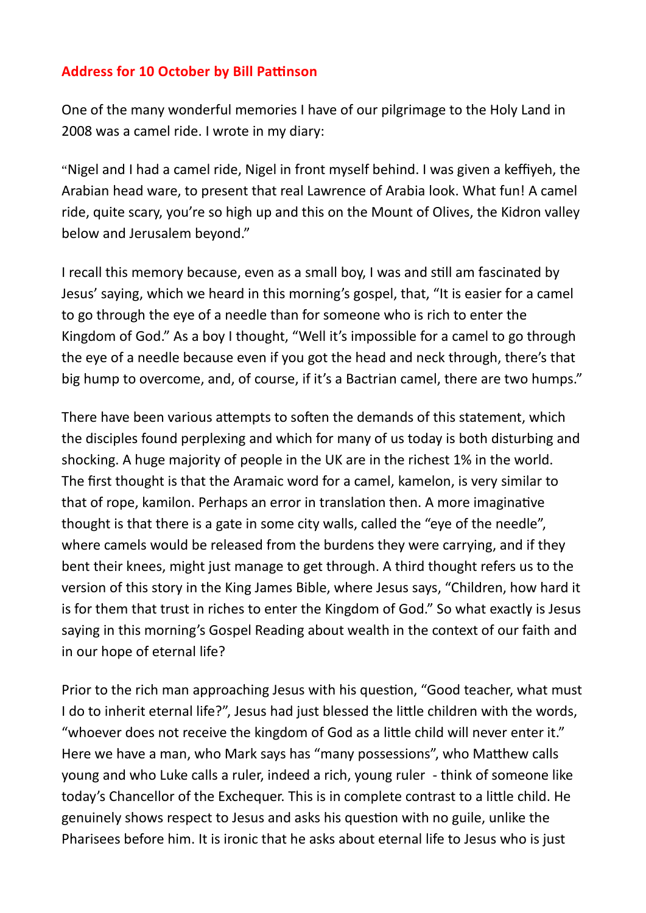## **Address for 10 October by Bill Pattinson**

One of the many wonderful memories I have of our pilgrimage to the Holy Land in 2008 was a camel ride. I wrote in my diary:

"Nigel and I had a camel ride, Nigel in front myself behind. I was given a keffiyeh, the Arabian head ware, to present that real Lawrence of Arabia look. What fun! A camel ride, quite scary, you're so high up and this on the Mount of Olives, the Kidron valley below and Jerusalem beyond."

I recall this memory because, even as a small boy, I was and still am fascinated by Jesus' saying, which we heard in this morning's gospel, that, "It is easier for a camel to go through the eye of a needle than for someone who is rich to enter the Kingdom of God." As a boy I thought, "Well it's impossible for a camel to go through the eye of a needle because even if you got the head and neck through, there's that big hump to overcome, and, of course, if it's a Bactrian camel, there are two humps."

There have been various attempts to soften the demands of this statement, which the disciples found perplexing and which for many of us today is both disturbing and shocking. A huge majority of people in the UK are in the richest 1% in the world. The first thought is that the Aramaic word for a camel, kamelon, is very similar to that of rope, kamilon. Perhaps an error in translation then. A more imaginative thought is that there is a gate in some city walls, called the "eye of the needle", where camels would be released from the burdens they were carrying, and if they bent their knees, might just manage to get through. A third thought refers us to the version of this story in the King James Bible, where Jesus says, "Children, how hard it is for them that trust in riches to enter the Kingdom of God." So what exactly is Jesus saying in this morning's Gospel Reading about wealth in the context of our faith and in our hope of eternal life?

Prior to the rich man approaching Jesus with his question, "Good teacher, what must I do to inherit eternal life?", Jesus had just blessed the little children with the words, "whoever does not receive the kingdom of God as a little child will never enter it." Here we have a man, who Mark says has "many possessions", who Matthew calls young and who Luke calls a ruler, indeed a rich, young ruler - think of someone like today's Chancellor of the Exchequer. This is in complete contrast to a little child. He genuinely shows respect to Jesus and asks his question with no guile, unlike the Pharisees before him. It is ironic that he asks about eternal life to Jesus who is just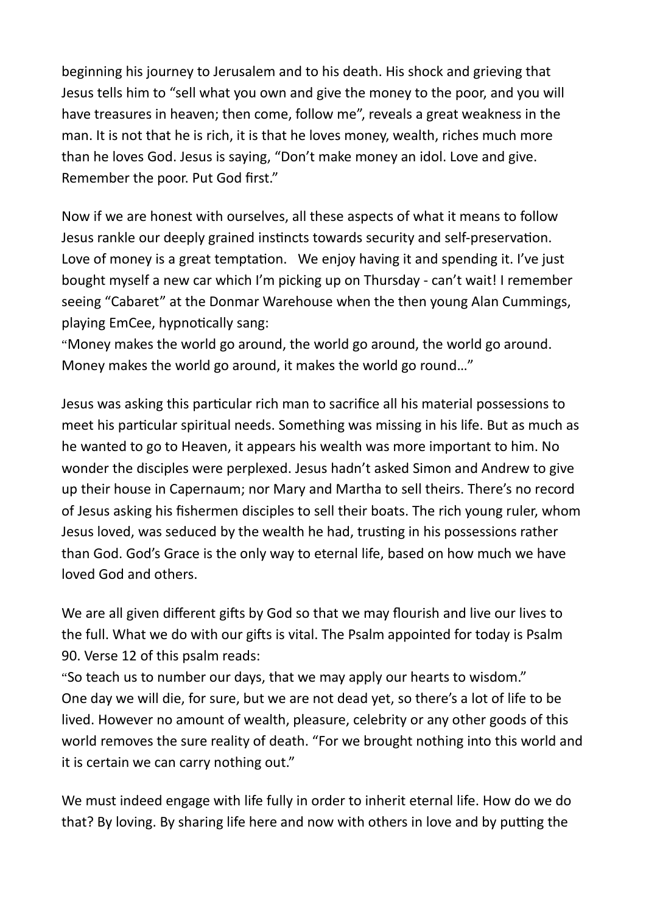beginning his journey to Jerusalem and to his death. His shock and grieving that Jesus tells him to "sell what you own and give the money to the poor, and you will have treasures in heaven; then come, follow me", reveals a great weakness in the man. It is not that he is rich, it is that he loves money, wealth, riches much more than he loves God. Jesus is saying, "Don't make money an idol. Love and give. Remember the poor. Put God first."

Now if we are honest with ourselves, all these aspects of what it means to follow Jesus rankle our deeply grained instincts towards security and self-preservation. Love of money is a great temptation. We enjoy having it and spending it. I've just bought myself a new car which I'm picking up on Thursday - can't wait! I remember seeing "Cabaret" at the Donmar Warehouse when the then young Alan Cummings, playing EmCee, hypnotically sang:

"Money makes the world go around, the world go around, the world go around. Money makes the world go around, it makes the world go round…"

Jesus was asking this particular rich man to sacrifice all his material possessions to meet his particular spiritual needs. Something was missing in his life. But as much as he wanted to go to Heaven, it appears his wealth was more important to him. No wonder the disciples were perplexed. Jesus hadn't asked Simon and Andrew to give up their house in Capernaum; nor Mary and Martha to sell theirs. There's no record of Jesus asking his fishermen disciples to sell their boats. The rich young ruler, whom Jesus loved, was seduced by the wealth he had, trusting in his possessions rather than God. God's Grace is the only way to eternal life, based on how much we have loved God and others.

We are all given different gifts by God so that we may flourish and live our lives to the full. What we do with our gifts is vital. The Psalm appointed for today is Psalm 90. Verse 12 of this psalm reads:

"So teach us to number our days, that we may apply our hearts to wisdom." One day we will die, for sure, but we are not dead yet, so there's a lot of life to be lived. However no amount of wealth, pleasure, celebrity or any other goods of this world removes the sure reality of death. "For we brought nothing into this world and it is certain we can carry nothing out."

We must indeed engage with life fully in order to inherit eternal life. How do we do that? By loving. By sharing life here and now with others in love and by putting the